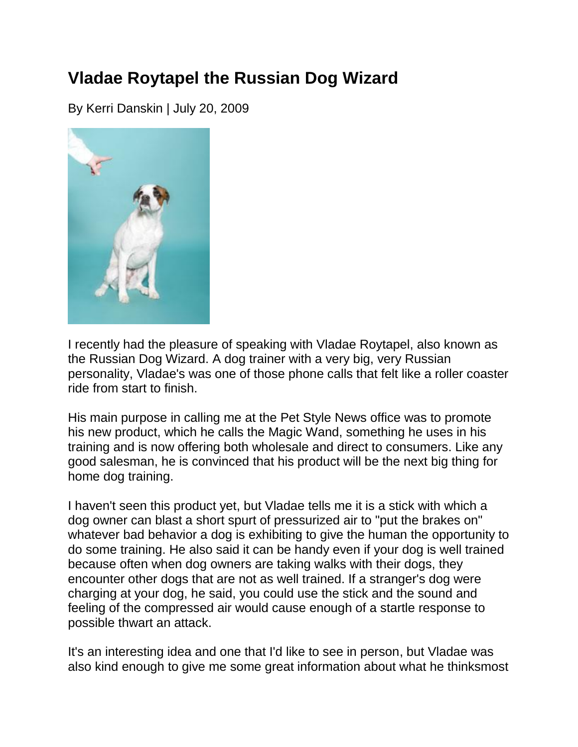## **Vladae Roytapel the Russian Dog Wizard**

By Kerri Danskin | July 20, 2009



I recently had the pleasure of speaking with Vladae Roytapel, also known as the Russian Dog Wizard. A dog trainer with a very big, very Russian personality, Vladae's was one of those phone calls that felt like a roller coaster ride from start to finish.

His main purpose in calling me at the Pet Style News office was to promote his new product, which he calls the Magic Wand, something he uses in his training and is now offering both wholesale and direct to consumers. Like any good salesman, he is convinced that his product will be the next big thing for home dog training.

I haven't seen this product yet, but Vladae tells me it is a stick with which a dog owner can blast a short spurt of pressurized air to "put the brakes on" whatever bad behavior a dog is exhibiting to give the human the opportunity to do some training. He also said it can be handy even if your dog is well trained because often when dog owners are taking walks with their dogs, they encounter other dogs that are not as well trained. If a stranger's dog were charging at your dog, he said, you could use the stick and the sound and feeling of the compressed air would cause enough of a startle response to possible thwart an attack.

It's an interesting idea and one that I'd like to see in person, but Vladae was also kind enough to give me some great information about what he thinksmost